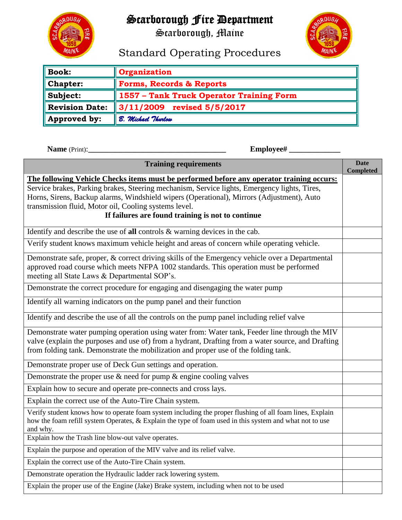

## Scarborough Fire Department

Scarborough, Maine



## Standard Operating Procedures

| <b>Book:</b>          | <b>Organization</b>                      |
|-----------------------|------------------------------------------|
| <b>Chapter:</b>       | Forms, Records & Reports                 |
| Subject:              | 1557 - Tank Truck Operator Training Form |
| <b>Revision Date:</b> | $\parallel$ 3/11/2009 revised 5/5/2017   |
| Approved by:          | <b>8. Michael Thurlow</b>                |

**Name** (Print):**\_\_\_\_\_\_\_\_\_\_\_\_\_\_\_\_\_\_\_\_\_\_\_\_\_\_\_\_\_\_\_\_\_\_\_ Employee# \_\_\_\_\_\_\_\_\_\_\_\_\_** 

| <b>Training requirements</b>                                                                                                                                                                                                                                                                            | <b>Date</b><br><b>Completed</b> |  |  |  |  |
|---------------------------------------------------------------------------------------------------------------------------------------------------------------------------------------------------------------------------------------------------------------------------------------------------------|---------------------------------|--|--|--|--|
| The following Vehicle Checks items must be performed before any operator training occurs:                                                                                                                                                                                                               |                                 |  |  |  |  |
| Service brakes, Parking brakes, Steering mechanism, Service lights, Emergency lights, Tires,<br>Horns, Sirens, Backup alarms, Windshield wipers (Operational), Mirrors (Adjustment), Auto<br>transmission fluid, Motor oil, Cooling systems level.<br>If failures are found training is not to continue |                                 |  |  |  |  |
| Identify and describe the use of all controls $\&$ warning devices in the cab.                                                                                                                                                                                                                          |                                 |  |  |  |  |
| Verify student knows maximum vehicle height and areas of concern while operating vehicle.                                                                                                                                                                                                               |                                 |  |  |  |  |
| Demonstrate safe, proper, & correct driving skills of the Emergency vehicle over a Departmental<br>approved road course which meets NFPA 1002 standards. This operation must be performed<br>meeting all State Laws & Departmental SOP's.                                                               |                                 |  |  |  |  |
| Demonstrate the correct procedure for engaging and disengaging the water pump                                                                                                                                                                                                                           |                                 |  |  |  |  |
| Identify all warning indicators on the pump panel and their function                                                                                                                                                                                                                                    |                                 |  |  |  |  |
| Identify and describe the use of all the controls on the pump panel including relief valve                                                                                                                                                                                                              |                                 |  |  |  |  |
| Demonstrate water pumping operation using water from: Water tank, Feeder line through the MIV<br>valve (explain the purposes and use of) from a hydrant, Drafting from a water source, and Drafting<br>from folding tank. Demonstrate the mobilization and proper use of the folding tank.              |                                 |  |  |  |  |
| Demonstrate proper use of Deck Gun settings and operation.                                                                                                                                                                                                                                              |                                 |  |  |  |  |
| Demonstrate the proper use $\&$ need for pump $\&$ engine cooling valves                                                                                                                                                                                                                                |                                 |  |  |  |  |
| Explain how to secure and operate pre-connects and cross lays.                                                                                                                                                                                                                                          |                                 |  |  |  |  |
| Explain the correct use of the Auto-Tire Chain system.                                                                                                                                                                                                                                                  |                                 |  |  |  |  |
| Verify student knows how to operate foam system including the proper flushing of all foam lines, Explain<br>how the foam refill system Operates, & Explain the type of foam used in this system and what not to use<br>and why.                                                                         |                                 |  |  |  |  |
| Explain how the Trash line blow-out valve operates.                                                                                                                                                                                                                                                     |                                 |  |  |  |  |
| Explain the purpose and operation of the MIV valve and its relief valve.                                                                                                                                                                                                                                |                                 |  |  |  |  |
| Explain the correct use of the Auto-Tire Chain system.                                                                                                                                                                                                                                                  |                                 |  |  |  |  |
| Demonstrate operation the Hydraulic ladder rack lowering system.                                                                                                                                                                                                                                        |                                 |  |  |  |  |
| Explain the proper use of the Engine (Jake) Brake system, including when not to be used                                                                                                                                                                                                                 |                                 |  |  |  |  |